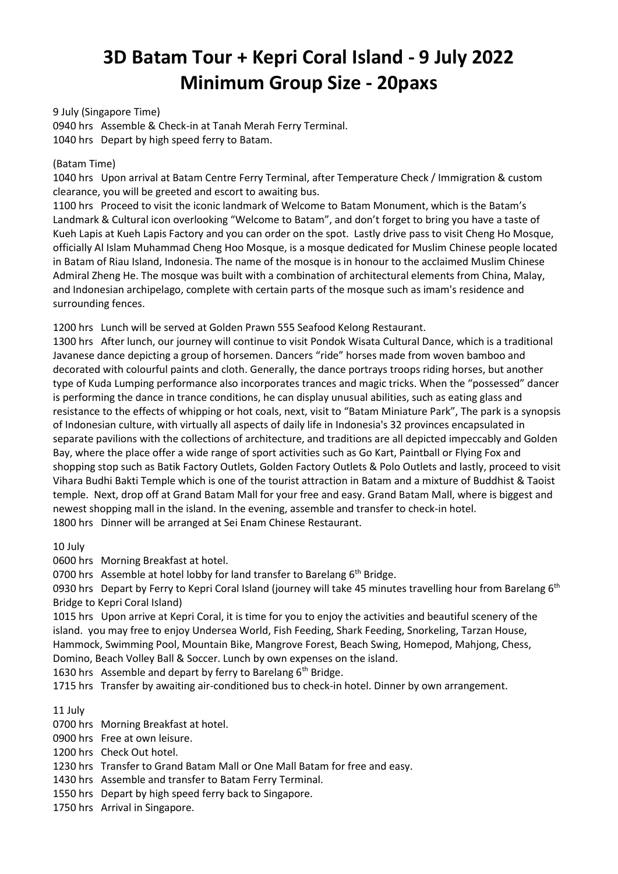# **3D Batam Tour + Kepri Coral Island - 9 July 2022 Minimum Group Size - 20paxs**

9 July (Singapore Time) 0940 hrs Assemble & Check-in at Tanah Merah Ferry Terminal. 1040 hrs Depart by high speed ferry to Batam.

## (Batam Time)

1040 hrs Upon arrival at Batam Centre Ferry Terminal, after Temperature Check / Immigration & custom clearance, you will be greeted and escort to awaiting bus.

1100 hrs Proceed to visit the iconic landmark of Welcome to Batam Monument, which is the Batam's Landmark & Cultural icon overlooking "Welcome to Batam", and don't forget to bring you have a taste of Kueh Lapis at Kueh Lapis Factory and you can order on the spot. Lastly drive pass to visit Cheng Ho Mosque, officially Al Islam Muhammad Cheng Hoo Mosque, is a mosque dedicated for Muslim Chinese people located in Batam of Riau Island, Indonesia. The name of the mosque is in honour to the acclaimed Muslim Chinese Admiral Zheng He. The mosque was built with a combination of architectural elements from China, Malay, and Indonesian archipelago, complete with certain parts of the mosque such as imam's residence and surrounding fences.

1200 hrs Lunch will be served at Golden Prawn 555 Seafood Kelong Restaurant.

1300 hrs After lunch, our journey will continue to visit Pondok Wisata Cultural Dance, which is a traditional Javanese dance depicting a group of horsemen. Dancers "ride" horses made from woven bamboo and decorated with colourful paints and cloth. Generally, the dance portrays troops riding horses, but another type of Kuda Lumping performance also incorporates trances and magic tricks. When the "possessed" dancer is performing the dance in trance conditions, he can display unusual abilities, such as eating glass and resistance to the effects of whipping or hot coals, next, visit to "Batam Miniature Park", The park is a synopsis of Indonesian culture, with virtually all aspects of daily life in Indonesia's 32 provinces encapsulated in separate pavilions with the collections of architecture, and traditions are all depicted impeccably and Golden Bay, where the place offer a wide range of sport activities such as Go Kart, Paintball or Flying Fox and shopping stop such as Batik Factory Outlets, Golden Factory Outlets & Polo Outlets and lastly, proceed to visit Vihara Budhi Bakti Temple which is one of the tourist attraction in Batam and a mixture of Buddhist & Taoist temple. Next, drop off at Grand Batam Mall for your free and easy. Grand Batam Mall, where is biggest and newest shopping mall in the island. In the evening, assemble and transfer to check-in hotel. 1800 hrs Dinner will be arranged at Sei Enam Chinese Restaurant.

10 July

0600 hrs Morning Breakfast at hotel.

0700 hrs Assemble at hotel lobby for land transfer to Barelang 6<sup>th</sup> Bridge.

0930 hrs Depart by Ferry to Kepri Coral Island (journey will take 45 minutes travelling hour from Barelang 6<sup>th</sup> Bridge to Kepri Coral Island)

1015 hrs Upon arrive at Kepri Coral, it is time for you to enjoy the activities and beautiful scenery of the island. you may free to enjoy Undersea World, Fish Feeding, Shark Feeding, Snorkeling, Tarzan House, Hammock, Swimming Pool, Mountain Bike, Mangrove Forest, Beach Swing, Homepod, Mahjong, Chess, Domino, Beach Volley Ball & Soccer. Lunch by own expenses on the island.

1630 hrs Assemble and depart by ferry to Barelang  $6<sup>th</sup>$  Bridge.

1715 hrs Transfer by awaiting air-conditioned bus to check-in hotel. Dinner by own arrangement.

11 July

0700 hrs Morning Breakfast at hotel.

0900 hrs Free at own leisure.

1200 hrs Check Out hotel.

1230 hrs Transfer to Grand Batam Mall or One Mall Batam for free and easy.

1430 hrs Assemble and transfer to Batam Ferry Terminal.

1550 hrs Depart by high speed ferry back to Singapore.

1750 hrs Arrival in Singapore.